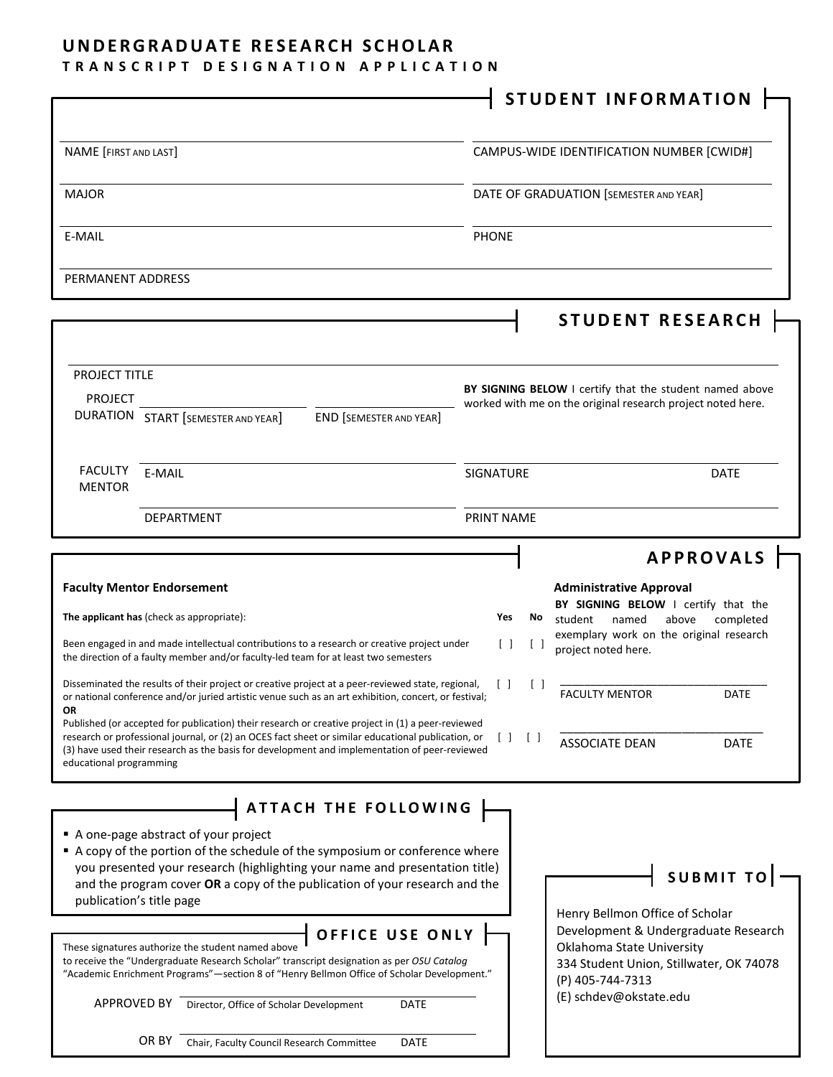## **UNDERGRADUATE RESEARCH SCHOLAR**

### **TRANSCRIPT DESIGNATION APPLICATION**

|                                                                                                                                                                                                                                                                                                                                     |                  | STUDENT INFORMATION                                                                                                              |
|-------------------------------------------------------------------------------------------------------------------------------------------------------------------------------------------------------------------------------------------------------------------------------------------------------------------------------------|------------------|----------------------------------------------------------------------------------------------------------------------------------|
|                                                                                                                                                                                                                                                                                                                                     |                  |                                                                                                                                  |
| NAME [FIRST AND LAST]                                                                                                                                                                                                                                                                                                               |                  | CAMPUS-WIDE IDENTIFICATION NUMBER [CWID#]                                                                                        |
| <b>MAJOR</b>                                                                                                                                                                                                                                                                                                                        |                  | DATE OF GRADUATION [SEMESTER AND YEAR]                                                                                           |
| E-MAIL                                                                                                                                                                                                                                                                                                                              | <b>PHONE</b>     |                                                                                                                                  |
| PERMANENT ADDRESS                                                                                                                                                                                                                                                                                                                   |                  |                                                                                                                                  |
|                                                                                                                                                                                                                                                                                                                                     |                  |                                                                                                                                  |
|                                                                                                                                                                                                                                                                                                                                     |                  | <b>STUDENT RESEARCH</b>                                                                                                          |
| <b>PROJECT TITLE</b>                                                                                                                                                                                                                                                                                                                |                  |                                                                                                                                  |
| <b>PROJECT</b>                                                                                                                                                                                                                                                                                                                      |                  | BY SIGNING BELOW I certify that the student named above<br>worked with me on the original research project noted here.           |
| <b>DURATION START [SEMESTER AND YEAR]</b><br><b>END [SEMESTER AND YEAR]</b>                                                                                                                                                                                                                                                         |                  |                                                                                                                                  |
| <b>FACULTY</b><br>E-MAIL                                                                                                                                                                                                                                                                                                            | <b>SIGNATURE</b> | <b>DATE</b>                                                                                                                      |
| <b>MENTOR</b>                                                                                                                                                                                                                                                                                                                       |                  |                                                                                                                                  |
| <b>DEPARTMENT</b>                                                                                                                                                                                                                                                                                                                   | PRINT NAME       |                                                                                                                                  |
|                                                                                                                                                                                                                                                                                                                                     |                  | <b>APPROVALS</b>                                                                                                                 |
| <b>Faculty Mentor Endorsement</b>                                                                                                                                                                                                                                                                                                   |                  | <b>Administrative Approval</b>                                                                                                   |
| The applicant has (check as appropriate):                                                                                                                                                                                                                                                                                           | Yes<br>No        | BY SIGNING BELOW I certify that the<br>student<br>named<br>above<br>completed                                                    |
| Been engaged in and made intellectual contributions to a research or creative project under<br>the direction of a faulty member and/or faculty-led team for at least two semesters                                                                                                                                                  | $\Box$           | exemplary work on the original research<br>project noted here.                                                                   |
| Disseminated the results of their project or creative project at a peer-reviewed state, regional,<br>or national conference and/or juried artistic venue such as an art exhibition, concert, or festival;<br><b>OR</b>                                                                                                              |                  | <b>FACULTY MENTOR</b><br>DATE                                                                                                    |
| Published (or accepted for publication) their research or creative project in (1) a peer-reviewed<br>research or professional journal, or (2) an OCES fact sheet or similar educational publication, or<br>(3) have used their research as the basis for development and implementation of peer-reviewed<br>educational programming |                  | <b>ASSOCIATE DEAN</b><br><b>DATE</b>                                                                                             |
| ATTACH THE FOLLOWING                                                                                                                                                                                                                                                                                                                |                  |                                                                                                                                  |
| A one-page abstract of your project<br>A copy of the portion of the schedule of the symposium or conference where<br>you presented your research (highlighting your name and presentation title)<br>and the program cover OR a copy of the publication of your research and the<br>publication's title page                         |                  | <b>SUBMIT TO</b><br>Henry Bellmon Office of Scholar                                                                              |
| OFFICE USE ONLY<br>These signatures authorize the student named above<br>to receive the "Undergraduate Research Scholar" transcript designation as per OSU Catalog<br>"Academic Enrichment Programs"-section 8 of "Henry Bellmon Office of Scholar Development."                                                                    |                  | Development & Undergraduate Research<br>Oklahoma State University<br>334 Student Union, Stillwater, OK 74078<br>(P) 405-744-7313 |
| APPROVED BY<br>Director, Office of Scholar Development<br>DATE                                                                                                                                                                                                                                                                      |                  | (E) schdev@okstate.edu                                                                                                           |
| OR BY<br>Chair, Faculty Council Research Committee<br><b>DATE</b>                                                                                                                                                                                                                                                                   |                  |                                                                                                                                  |